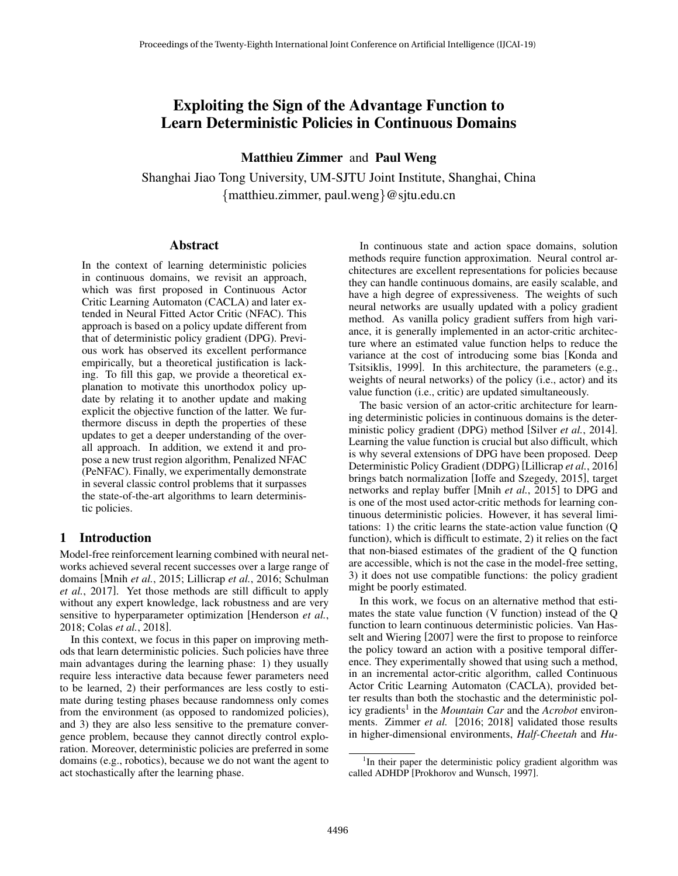# Exploiting the Sign of the Advantage Function to Learn Deterministic Policies in Continuous Domains

Matthieu Zimmer and Paul Weng

Shanghai Jiao Tong University, UM-SJTU Joint Institute, Shanghai, China {matthieu.zimmer, paul.weng}@sjtu.edu.cn

# Abstract

In the context of learning deterministic policies in continuous domains, we revisit an approach, which was first proposed in Continuous Actor Critic Learning Automaton (CACLA) and later extended in Neural Fitted Actor Critic (NFAC). This approach is based on a policy update different from that of deterministic policy gradient (DPG). Previous work has observed its excellent performance empirically, but a theoretical justification is lacking. To fill this gap, we provide a theoretical explanation to motivate this unorthodox policy update by relating it to another update and making explicit the objective function of the latter. We furthermore discuss in depth the properties of these updates to get a deeper understanding of the overall approach. In addition, we extend it and propose a new trust region algorithm, Penalized NFAC (PeNFAC). Finally, we experimentally demonstrate in several classic control problems that it surpasses the state-of-the-art algorithms to learn deterministic policies.

# 1 Introduction

Model-free reinforcement learning combined with neural networks achieved several recent successes over a large range of domains [Mnih *et al.*, 2015; Lillicrap *et al.*, 2016; Schulman *et al.*, 2017]. Yet those methods are still difficult to apply without any expert knowledge, lack robustness and are very sensitive to hyperparameter optimization [Henderson *et al.*, 2018; Colas *et al.*, 2018].

In this context, we focus in this paper on improving methods that learn deterministic policies. Such policies have three main advantages during the learning phase: 1) they usually require less interactive data because fewer parameters need to be learned, 2) their performances are less costly to estimate during testing phases because randomness only comes from the environment (as opposed to randomized policies), and 3) they are also less sensitive to the premature convergence problem, because they cannot directly control exploration. Moreover, deterministic policies are preferred in some domains (e.g., robotics), because we do not want the agent to act stochastically after the learning phase.

In continuous state and action space domains, solution methods require function approximation. Neural control architectures are excellent representations for policies because they can handle continuous domains, are easily scalable, and have a high degree of expressiveness. The weights of such neural networks are usually updated with a policy gradient method. As vanilla policy gradient suffers from high variance, it is generally implemented in an actor-critic architecture where an estimated value function helps to reduce the variance at the cost of introducing some bias [Konda and Tsitsiklis, 1999]. In this architecture, the parameters (e.g., weights of neural networks) of the policy (i.e., actor) and its value function (i.e., critic) are updated simultaneously.

The basic version of an actor-critic architecture for learning deterministic policies in continuous domains is the deterministic policy gradient (DPG) method [Silver *et al.*, 2014]. Learning the value function is crucial but also difficult, which is why several extensions of DPG have been proposed. Deep Deterministic Policy Gradient (DDPG) [Lillicrap *et al.*, 2016] brings batch normalization [Ioffe and Szegedy, 2015], target networks and replay buffer [Mnih *et al.*, 2015] to DPG and is one of the most used actor-critic methods for learning continuous deterministic policies. However, it has several limitations: 1) the critic learns the state-action value function (Q function), which is difficult to estimate, 2) it relies on the fact that non-biased estimates of the gradient of the Q function are accessible, which is not the case in the model-free setting, 3) it does not use compatible functions: the policy gradient might be poorly estimated.

In this work, we focus on an alternative method that estimates the state value function (V function) instead of the Q function to learn continuous deterministic policies. Van Hasselt and Wiering [2007] were the first to propose to reinforce the policy toward an action with a positive temporal difference. They experimentally showed that using such a method, in an incremental actor-critic algorithm, called Continuous Actor Critic Learning Automaton (CACLA), provided better results than both the stochastic and the deterministic policy gradients<sup>1</sup> in the *Mountain Car* and the *Acrobot* environments. Zimmer *et al.* [2016; 2018] validated those results in higher-dimensional environments, *Half-Cheetah* and *Hu-*

<sup>&</sup>lt;sup>1</sup>In their paper the deterministic policy gradient algorithm was called ADHDP [Prokhorov and Wunsch, 1997].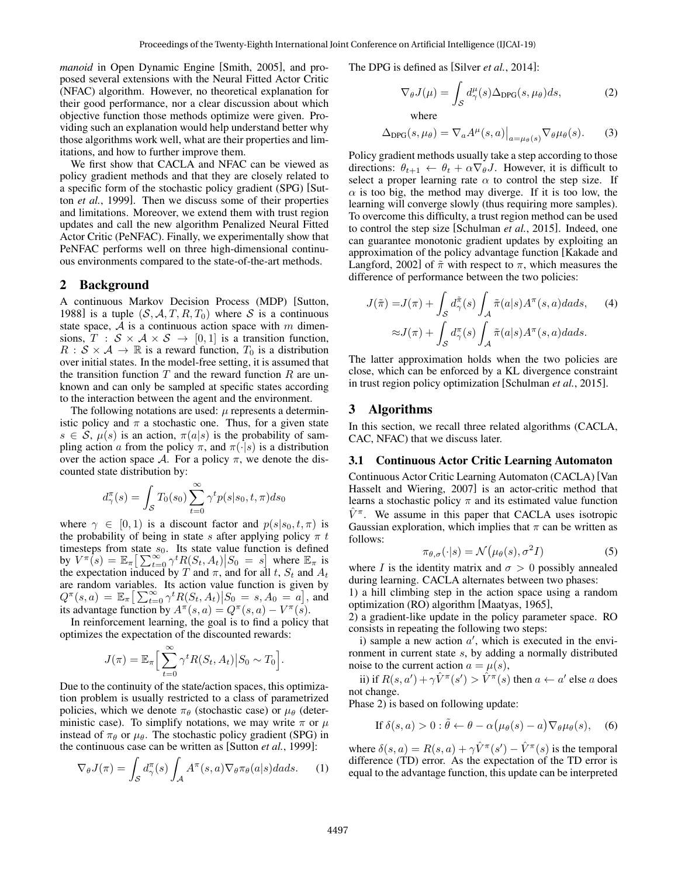*manoid* in Open Dynamic Engine [Smith, 2005], and proposed several extensions with the Neural Fitted Actor Critic (NFAC) algorithm. However, no theoretical explanation for their good performance, nor a clear discussion about which objective function those methods optimize were given. Providing such an explanation would help understand better why those algorithms work well, what are their properties and limitations, and how to further improve them.

We first show that CACLA and NFAC can be viewed as policy gradient methods and that they are closely related to a specific form of the stochastic policy gradient (SPG) [Sutton *et al.*, 1999]. Then we discuss some of their properties and limitations. Moreover, we extend them with trust region updates and call the new algorithm Penalized Neural Fitted Actor Critic (PeNFAC). Finally, we experimentally show that PeNFAC performs well on three high-dimensional continuous environments compared to the state-of-the-art methods.

# 2 Background

A continuous Markov Decision Process (MDP) [Sutton, 1988] is a tuple  $(S, A, T, R, T_0)$  where S is a continuous state space,  $A$  is a continuous action space with m dimensions,  $T : S \times A \times S \rightarrow [0, 1]$  is a transition function,  $R : S \times A \rightarrow \mathbb{R}$  is a reward function,  $T_0$  is a distribution over initial states. In the model-free setting, it is assumed that the transition function  $T$  and the reward function  $R$  are unknown and can only be sampled at specific states according to the interaction between the agent and the environment.

The following notations are used:  $\mu$  represents a deterministic policy and  $\pi$  a stochastic one. Thus, for a given state  $s \in \mathcal{S}$ ,  $\mu(s)$  is an action,  $\pi(a|s)$  is the probability of sampling action a from the policy  $\pi$ , and  $\pi(\cdot|s)$  is a distribution over the action space A. For a policy  $\pi$ , we denote the discounted state distribution by:

$$
d_{\gamma}^{\pi}(s) = \int_{\mathcal{S}} T_0(s_0) \sum_{t=0}^{\infty} \gamma^t p(s|s_0, t, \pi) ds_0
$$

where  $\gamma \in [0, 1)$  is a discount factor and  $p(s|s_0, t, \pi)$  is the probability of being in state s after applying policy  $\pi t$ timesteps from state  $s_0$ . Its state value function is defined by  $V^{\pi}(s) = \mathbb{E}_{\pi} \left[ \sum_{t=0}^{\infty} \gamma^{t} R(S_t, A_t) \middle| S_0 = s \right]$  where  $\mathbb{E}_{\pi}$  is the expectation induced by T and  $\pi$ , and for all t,  $S_t$  and  $A_t$ are random variables. Its action value function is given by  $Q^{\pi}(s, a) = \mathbb{E}_{\pi} \left[ \sum_{t=0}^{\infty} \gamma^t R(S_t, A_t) \middle| S_0 = s, A_0 = a \right],$  and its advantage function by  $A^{\pi}(s, a) = Q^{\pi}(s, a) - V^{\pi}(s)$ .

In reinforcement learning, the goal is to find a policy that optimizes the expectation of the discounted rewards:

$$
J(\pi) = \mathbb{E}_{\pi} \Big[ \sum_{t=0}^{\infty} \gamma^t R(S_t, A_t) \Big| S_0 \sim T_0 \Big].
$$

Due to the continuity of the state/action spaces, this optimization problem is usually restricted to a class of parametrized policies, which we denote  $\pi_{\theta}$  (stochastic case) or  $\mu_{\theta}$  (deterministic case). To simplify notations, we may write  $\pi$  or  $\mu$ instead of  $\pi_{\theta}$  or  $\mu_{\theta}$ . The stochastic policy gradient (SPG) in the continuous case can be written as [Sutton *et al.*, 1999]:

$$
\nabla_{\theta} J(\pi) = \int_{\mathcal{S}} d_{\gamma}^{\pi}(s) \int_{\mathcal{A}} A^{\pi}(s, a) \nabla_{\theta} \pi_{\theta}(a|s) da ds. \tag{1}
$$

The DPG is defined as [Silver *et al.*, 2014]:

$$
\nabla_{\theta} J(\mu) = \int_{\mathcal{S}} d_{\gamma}^{\mu}(s) \Delta_{\text{DPG}}(s, \mu_{\theta}) ds, \tag{2}
$$

where

$$
\Delta_{\text{DPG}}(s,\mu_{\theta}) = \nabla_a A^{\mu}(s,a) \big|_{a=\mu_{\theta}(s)} \nabla_{\theta} \mu_{\theta}(s). \tag{3}
$$

Policy gradient methods usually take a step according to those directions:  $\theta_{t+1} \leftarrow \theta_t + \alpha \nabla_{\theta} J$ . However, it is difficult to select a proper learning rate  $\alpha$  to control the step size. If  $\alpha$  is too big, the method may diverge. If it is too low, the learning will converge slowly (thus requiring more samples). To overcome this difficulty, a trust region method can be used to control the step size [Schulman *et al.*, 2015]. Indeed, one can guarantee monotonic gradient updates by exploiting an approximation of the policy advantage function [Kakade and Langford, 2002] of  $\tilde{\pi}$  with respect to  $\pi$ , which measures the difference of performance between the two policies:

$$
J(\tilde{\pi}) = J(\pi) + \int_{S} d\tilde{\pi}(s) \int_{A} \tilde{\pi}(a|s) A^{\pi}(s, a) da ds, \quad (4)
$$

$$
\approx J(\pi) + \int_{S} d\tilde{\pi}(s) \int_{A} \tilde{\pi}(a|s) A^{\pi}(s, a) da ds.
$$

The latter approximation holds when the two policies are close, which can be enforced by a KL divergence constraint in trust region policy optimization [Schulman *et al.*, 2015].

# 3 Algorithms

In this section, we recall three related algorithms (CACLA, CAC, NFAC) that we discuss later.

#### 3.1 Continuous Actor Critic Learning Automaton

Continuous Actor Critic Learning Automaton (CACLA) [Van Hasselt and Wiering, 2007] is an actor-critic method that learns a stochastic policy  $\pi$  and its estimated value function  $\hat{V}^{\pi}$ . We assume in this paper that CACLA uses isotropic Gaussian exploration, which implies that  $\pi$  can be written as follows:

$$
\pi_{\theta,\sigma}(\cdot|s) = \mathcal{N}(\mu_{\theta}(s), \sigma^2 I) \tag{5}
$$

where I is the identity matrix and  $\sigma > 0$  possibly annealed during learning. CACLA alternates between two phases:

1) a hill climbing step in the action space using a random optimization (RO) algorithm [Maatyas, 1965],

2) a gradient-like update in the policy parameter space. RO consists in repeating the following two steps:

i) sample a new action  $a'$ , which is executed in the environment in current state s, by adding a normally distributed noise to the current action  $a = \mu(s)$ ,

ii) if  $R(s, a') + \gamma \hat{V}^{\pi}(s') > \hat{V}^{\pi}(s)$  then  $a \leftarrow a'$  else a does not change.

Phase 2) is based on following update:

If 
$$
\delta(s, a) > 0 : \tilde{\theta} \leftarrow \theta - \alpha (\mu_{\theta}(s) - a) \nabla_{\theta} \mu_{\theta}(s)
$$
, (6)

where  $\delta(s, a) = R(s, a) + \gamma \hat{V}^{\pi}(s') - \hat{V}^{\pi}(s)$  is the temporal difference (TD) error. As the expectation of the TD error is equal to the advantage function, this update can be interpreted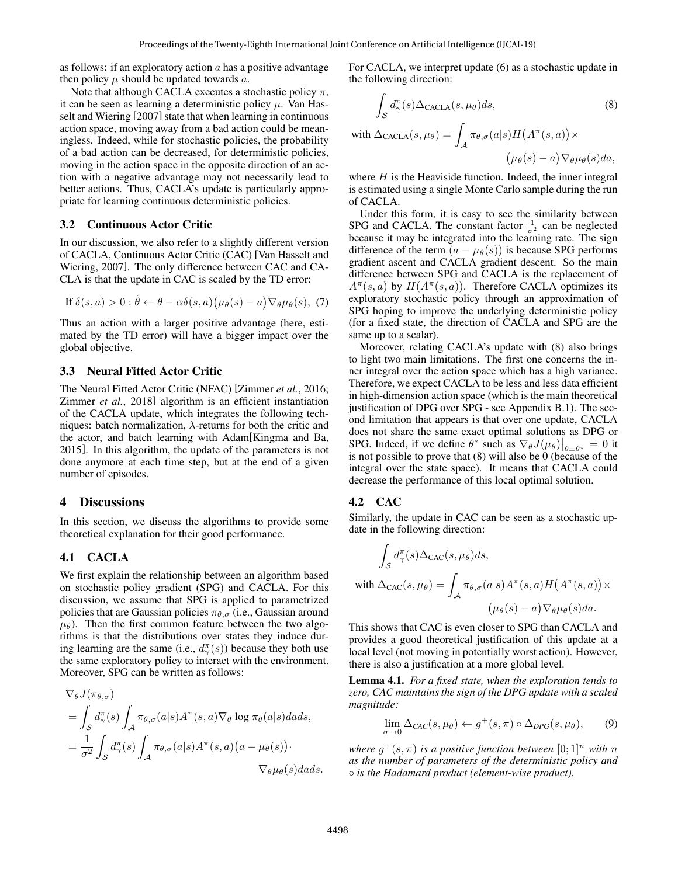as follows: if an exploratory action  $a$  has a positive advantage then policy  $\mu$  should be updated towards  $a$ .

Note that although CACLA executes a stochastic policy  $\pi$ , it can be seen as learning a deterministic policy  $\mu$ . Van Hasselt and Wiering [2007] state that when learning in continuous action space, moving away from a bad action could be meaningless. Indeed, while for stochastic policies, the probability of a bad action can be decreased, for deterministic policies, moving in the action space in the opposite direction of an action with a negative advantage may not necessarily lead to better actions. Thus, CACLA's update is particularly appropriate for learning continuous deterministic policies.

# 3.2 Continuous Actor Critic

In our discussion, we also refer to a slightly different version of CACLA, Continuous Actor Critic (CAC) [Van Hasselt and Wiering, 2007]. The only difference between CAC and CA-CLA is that the update in CAC is scaled by the TD error:

If 
$$
\delta(s, a) > 0 : \tilde{\theta} \leftarrow \theta - \alpha \delta(s, a) (\mu_{\theta}(s) - a) \nabla_{\theta} \mu_{\theta}(s), (7)
$$

Thus an action with a larger positive advantage (here, estimated by the TD error) will have a bigger impact over the global objective.

# 3.3 Neural Fitted Actor Critic

The Neural Fitted Actor Critic (NFAC) [Zimmer *et al.*, 2016; Zimmer *et al.*, 2018] algorithm is an efficient instantiation of the CACLA update, which integrates the following techniques: batch normalization,  $\lambda$ -returns for both the critic and the actor, and batch learning with Adam[Kingma and Ba, 2015]. In this algorithm, the update of the parameters is not done anymore at each time step, but at the end of a given number of episodes.

#### 4 Discussions

In this section, we discuss the algorithms to provide some theoretical explanation for their good performance.

#### 4.1 CACLA

We first explain the relationship between an algorithm based on stochastic policy gradient (SPG) and CACLA. For this discussion, we assume that SPG is applied to parametrized policies that are Gaussian policies  $\pi_{\theta,\sigma}$  (i.e., Gaussian around  $\mu_{\theta}$ ). Then the first common feature between the two algorithms is that the distributions over states they induce during learning are the same (i.e.,  $d^{\pi}_{\gamma}(s)$ ) because they both use the same exploratory policy to interact with the environment. Moreover, SPG can be written as follows:

$$
\nabla_{\theta} J(\pi_{\theta,\sigma})
$$
\n
$$
= \int_{S} d_{\gamma}^{\pi}(s) \int_{A} \pi_{\theta,\sigma}(a|s) A^{\pi}(s,a) \nabla_{\theta} \log \pi_{\theta}(a|s) dads,
$$
\n
$$
= \frac{1}{\sigma^2} \int_{S} d_{\gamma}^{\pi}(s) \int_{A} \pi_{\theta,\sigma}(a|s) A^{\pi}(s,a) (a - \mu_{\theta}(s)) \cdot \nabla_{\theta} \mu_{\theta}(s) dads.
$$

For CACLA, we interpret update (6) as a stochastic update in the following direction:

$$
\int_{S} d_{\gamma}^{\pi}(s) \Delta_{\text{CACLA}}(s, \mu_{\theta}) ds,
$$
\n
$$
\text{with } \Delta_{\text{CACLA}}(s, \mu_{\theta}) = \int_{\mathcal{A}} \pi_{\theta, \sigma}(a|s) H(A^{\pi}(s, a)) \times \left(\mu_{\theta}(s) - a\right) \nabla_{\theta} \mu_{\theta}(s) da,
$$
\n
$$
(4.47)
$$

where  $H$  is the Heaviside function. Indeed, the inner integral is estimated using a single Monte Carlo sample during the run of CACLA.

Under this form, it is easy to see the similarity between SPG and CACLA. The constant factor  $\frac{1}{\sigma^2}$  can be neglected because it may be integrated into the learning rate. The sign difference of the term  $(a - \mu_{\theta}(s))$  is because SPG performs gradient ascent and CACLA gradient descent. So the main difference between SPG and CACLA is the replacement of  $A^{\pi}(s, a)$  by  $H(A^{\pi}(s, a))$ . Therefore CACLA optimizes its exploratory stochastic policy through an approximation of SPG hoping to improve the underlying deterministic policy (for a fixed state, the direction of CACLA and SPG are the same up to a scalar).

Moreover, relating CACLA's update with (8) also brings to light two main limitations. The first one concerns the inner integral over the action space which has a high variance. Therefore, we expect CACLA to be less and less data efficient in high-dimension action space (which is the main theoretical justification of DPG over SPG - see Appendix B.1). The second limitation that appears is that over one update, CACLA does not share the same exact optimal solutions as DPG or SPG. Indeed, if we define  $\theta^*$  such as  $\nabla_{\theta} J(\mu_{\theta})|_{\theta=\theta^*} = 0$  it is not possible to prove that  $(8)$  will also be 0 (because of the integral over the state space). It means that CACLA could decrease the performance of this local optimal solution.

#### 4.2 CAC

Similarly, the update in CAC can be seen as a stochastic update in the following direction:

$$
\int_{S} d_{\gamma}^{\pi}(s) \Delta_{\text{CAC}}(s, \mu_{\theta}) ds,
$$
  
with 
$$
\Delta_{\text{CAC}}(s, \mu_{\theta}) = \int_{\mathcal{A}} \pi_{\theta, \sigma}(a|s) A^{\pi}(s, a) H(A^{\pi}(s, a)) \times
$$

$$
(\mu_{\theta}(s) - a) \nabla_{\theta} \mu_{\theta}(s) da.
$$

This shows that CAC is even closer to SPG than CACLA and provides a good theoretical justification of this update at a local level (not moving in potentially worst action). However, there is also a justification at a more global level.

Lemma 4.1. *For a fixed state, when the exploration tends to zero, CAC maintains the sign of the DPG update with a scaled magnitude:*

$$
\lim_{\sigma \to 0} \Delta_{CAC}(s, \mu_{\theta}) \leftarrow g^{+}(s, \pi) \circ \Delta_{DPG}(s, \mu_{\theta}), \qquad (9)
$$

*where*  $g^+(s, \pi)$  *is a positive function between*  $[0;1]^n$  *with n as the number of parameters of the deterministic policy and* ◦ *is the Hadamard product (element-wise product).*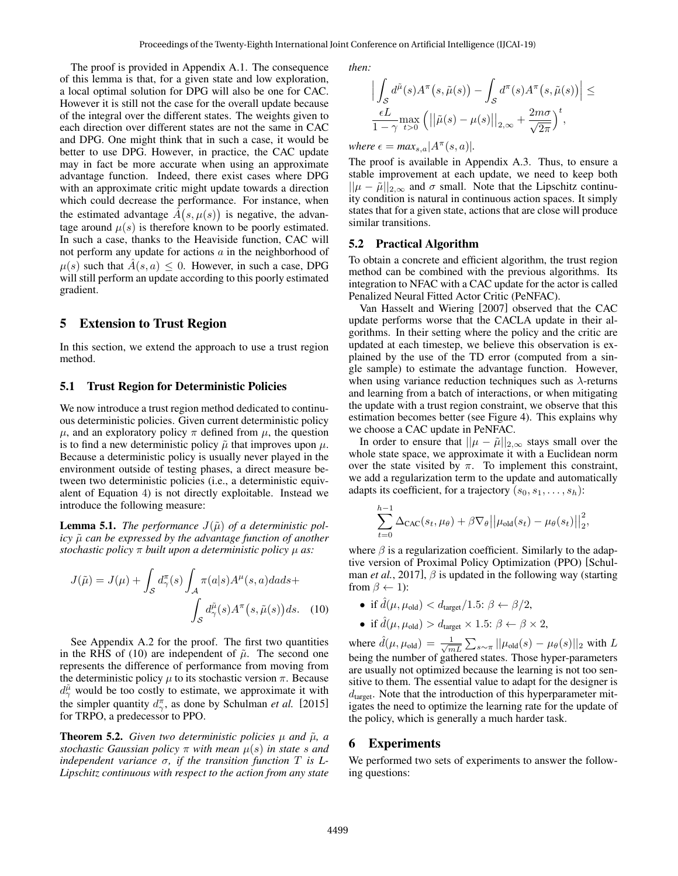The proof is provided in Appendix A.1. The consequence of this lemma is that, for a given state and low exploration, a local optimal solution for DPG will also be one for CAC. However it is still not the case for the overall update because of the integral over the different states. The weights given to each direction over different states are not the same in CAC and DPG. One might think that in such a case, it would be better to use DPG. However, in practice, the CAC update may in fact be more accurate when using an approximate advantage function. Indeed, there exist cases where DPG with an approximate critic might update towards a direction which could decrease the performance. For instance, when the estimated advantage  $\hat{A}(s, \mu(s))$  is negative, the advantage around  $\mu(s)$  is therefore known to be poorly estimated. In such a case, thanks to the Heaviside function, CAC will not perform any update for actions  $a$  in the neighborhood of  $\mu(s)$  such that  $A(s, a) \leq 0$ . However, in such a case, DPG will still perform an update according to this poorly estimated gradient.

# 5 Extension to Trust Region

In this section, we extend the approach to use a trust region method.

#### 5.1 Trust Region for Deterministic Policies

We now introduce a trust region method dedicated to continuous deterministic policies. Given current deterministic policy  $\mu$ , and an exploratory policy  $\pi$  defined from  $\mu$ , the question is to find a new deterministic policy  $\tilde{\mu}$  that improves upon  $\mu$ . Because a deterministic policy is usually never played in the environment outside of testing phases, a direct measure between two deterministic policies (i.e., a deterministic equivalent of Equation 4) is not directly exploitable. Instead we introduce the following measure:

**Lemma 5.1.** *The performance*  $J(\tilde{\mu})$  *of a deterministic policy*  $\tilde{\mu}$  *can be expressed by the advantage function of another stochastic policy* π *built upon a deterministic policy* µ *as:*

$$
J(\tilde{\mu}) = J(\mu) + \int_{\mathcal{S}} d^{\pi}_{\gamma}(s) \int_{\mathcal{A}} \pi(a|s) A^{\mu}(s, a) da ds + \int_{\mathcal{S}} d^{\tilde{\mu}}_{\gamma}(s) A^{\pi}(s, \tilde{\mu}(s)) ds. \quad (10)
$$

See Appendix A.2 for the proof. The first two quantities in the RHS of (10) are independent of  $\tilde{\mu}$ . The second one represents the difference of performance from moving from the deterministic policy  $\mu$  to its stochastic version  $\pi$ . Because  $d_{\gamma}^{\tilde{\mu}}$  would be too costly to estimate, we approximate it with the simpler quantity  $d_{\gamma}^{\pi}$ , as done by Schulman *et al.* [2015] for TRPO, a predecessor to PPO.

**Theorem 5.2.** *Given two deterministic policies*  $\mu$  *and*  $\tilde{\mu}$ *, a stochastic Gaussian policy*  $\pi$  *with mean*  $\mu(s)$  *in state s* and *independent variance*  $\sigma$ *, if the transition function*  $T$  *is*  $L$ -*Lipschitz continuous with respect to the action from any state* *then:*

$$
\left| \int_{S} d^{\tilde{\mu}}(s) A^{\pi}(s, \tilde{\mu}(s)) - \int_{S} d^{\pi}(s) A^{\pi}(s, \tilde{\mu}(s)) \right| \leq
$$
  

$$
\frac{\epsilon L}{1 - \gamma} \max_{t > 0} (||\tilde{\mu}(s) - \mu(s)||_{2, \infty} + \frac{2m\sigma}{\sqrt{2\pi}})^{t},
$$

 $where \epsilon = max_{s,a} | A^{\pi}(s,a) |.$ 

The proof is available in Appendix A.3. Thus, to ensure a stable improvement at each update, we need to keep both  $||\mu - \tilde{\mu}||_{2,\infty}$  and  $\sigma$  small. Note that the Lipschitz continuity condition is natural in continuous action spaces. It simply states that for a given state, actions that are close will produce similar transitions.

#### 5.2 Practical Algorithm

To obtain a concrete and efficient algorithm, the trust region method can be combined with the previous algorithms. Its integration to NFAC with a CAC update for the actor is called Penalized Neural Fitted Actor Critic (PeNFAC).

Van Hasselt and Wiering [2007] observed that the CAC update performs worse that the CACLA update in their algorithms. In their setting where the policy and the critic are updated at each timestep, we believe this observation is explained by the use of the TD error (computed from a single sample) to estimate the advantage function. However, when using variance reduction techniques such as  $\lambda$ -returns and learning from a batch of interactions, or when mitigating the update with a trust region constraint, we observe that this estimation becomes better (see Figure 4). This explains why we choose a CAC update in PeNFAC.

In order to ensure that  $||\mu - \tilde{\mu}||_{2,\infty}$  stays small over the whole state space, we approximate it with a Euclidean norm over the state visited by  $\pi$ . To implement this constraint, we add a regularization term to the update and automatically adapts its coefficient, for a trajectory  $(s_0, s_1, \ldots, s_h)$ :

$$
\sum_{t=0}^{h-1} \Delta_{\text{CAC}}(s_t, \mu_\theta) + \beta \nabla_{\theta} ||\mu_{\text{old}}(s_t) - \mu_{\theta}(s_t)||_2^2,
$$

where  $\beta$  is a regularization coefficient. Similarly to the adaptive version of Proximal Policy Optimization (PPO) [Schulman *et al.*, 2017],  $\beta$  is updated in the following way (starting from  $\beta \leftarrow 1$ :

- if  $\hat{d}(\mu, \mu_{old}) < d_{target}/1.5$ :  $\beta \leftarrow \beta/2$ ,
- if  $\hat{d}(\mu, \mu_{\text{old}}) > d_{\text{target}} \times 1.5: \beta \leftarrow \beta \times 2$ ,

where  $\hat{d}(\mu, \mu_{old}) = \frac{1}{\sqrt{n}}$  $\frac{1}{mL} \sum_{s \sim \pi} ||\mu_{\text{old}}(s) - \mu_{\theta}(s)||_2$  with  $L$ being the number of gathered states. Those hyper-parameters are usually not optimized because the learning is not too sensitive to them. The essential value to adapt for the designer is  $d<sub>target</sub>$ . Note that the introduction of this hyperparameter mitigates the need to optimize the learning rate for the update of the policy, which is generally a much harder task.

# 6 Experiments

We performed two sets of experiments to answer the following questions: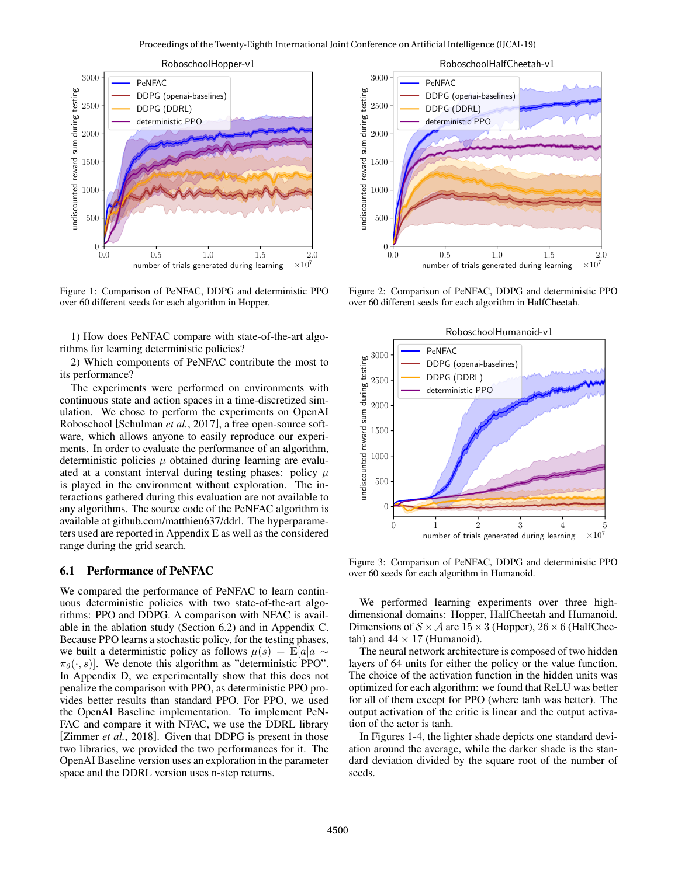

Figure 1: Comparison of PeNFAC, DDPG and deterministic PPO over 60 different seeds for each algorithm in Hopper.

1) How does PeNFAC compare with state-of-the-art algorithms for learning deterministic policies?

2) Which components of PeNFAC contribute the most to its performance?

The experiments were performed on environments with continuous state and action spaces in a time-discretized simulation. We chose to perform the experiments on OpenAI Roboschool [Schulman *et al.*, 2017], a free open-source software, which allows anyone to easily reproduce our experiments. In order to evaluate the performance of an algorithm, deterministic policies  $\mu$  obtained during learning are evaluated at a constant interval during testing phases: policy  $\mu$ is played in the environment without exploration. The interactions gathered during this evaluation are not available to any algorithms. The source code of the PeNFAC algorithm is available at github.com/matthieu637/ddrl. The hyperparameters used are reported in Appendix E as well as the considered range during the grid search.

#### 6.1 Performance of PeNFAC

We compared the performance of PeNFAC to learn continuous deterministic policies with two state-of-the-art algorithms: PPO and DDPG. A comparison with NFAC is available in the ablation study (Section 6.2) and in Appendix C. Because PPO learns a stochastic policy, for the testing phases, we built a deterministic policy as follows  $\mu(s) = \mathbb{E}[a|a \sim$  $\pi_{\theta}(\cdot, s)$ . We denote this algorithm as "deterministic PPO". In Appendix D, we experimentally show that this does not penalize the comparison with PPO, as deterministic PPO provides better results than standard PPO. For PPO, we used the OpenAI Baseline implementation. To implement PeN-FAC and compare it with NFAC, we use the DDRL library [Zimmer *et al.*, 2018]. Given that DDPG is present in those two libraries, we provided the two performances for it. The OpenAI Baseline version uses an exploration in the parameter space and the DDRL version uses n-step returns.



Figure 2: Comparison of PeNFAC, DDPG and deterministic PPO over 60 different seeds for each algorithm in HalfCheetah.



Figure 3: Comparison of PeNFAC, DDPG and deterministic PPO over 60 seeds for each algorithm in Humanoid.

We performed learning experiments over three highdimensional domains: Hopper, HalfCheetah and Humanoid. Dimensions of  $S \times A$  are  $15 \times 3$  (Hopper),  $26 \times 6$  (HalfCheetah) and  $44 \times 17$  (Humanoid).

The neural network architecture is composed of two hidden layers of 64 units for either the policy or the value function. The choice of the activation function in the hidden units was optimized for each algorithm: we found that ReLU was better for all of them except for PPO (where tanh was better). The output activation of the critic is linear and the output activation of the actor is tanh.

In Figures 1-4, the lighter shade depicts one standard deviation around the average, while the darker shade is the standard deviation divided by the square root of the number of seeds.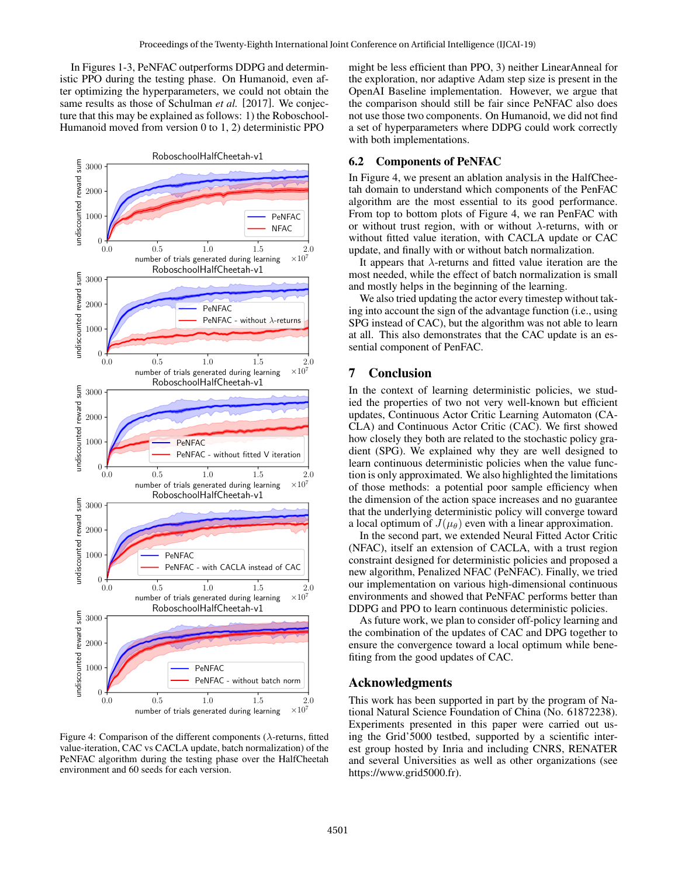In Figures 1-3, PeNFAC outperforms DDPG and deterministic PPO during the testing phase. On Humanoid, even after optimizing the hyperparameters, we could not obtain the same results as those of Schulman *et al.* [2017]. We conjecture that this may be explained as follows: 1) the Roboschool-Humanoid moved from version 0 to 1, 2) deterministic PPO



Figure 4: Comparison of the different components ( $\lambda$ -returns, fitted value-iteration, CAC vs CACLA update, batch normalization) of the PeNFAC algorithm during the testing phase over the HalfCheetah environment and 60 seeds for each version.

might be less efficient than PPO, 3) neither LinearAnneal for the exploration, nor adaptive Adam step size is present in the OpenAI Baseline implementation. However, we argue that the comparison should still be fair since PeNFAC also does not use those two components. On Humanoid, we did not find a set of hyperparameters where DDPG could work correctly with both implementations.

# 6.2 Components of PeNFAC

In Figure 4, we present an ablation analysis in the HalfCheetah domain to understand which components of the PenFAC algorithm are the most essential to its good performance. From top to bottom plots of Figure 4, we ran PenFAC with or without trust region, with or without  $\lambda$ -returns, with or without fitted value iteration, with CACLA update or CAC update, and finally with or without batch normalization.

It appears that  $\lambda$ -returns and fitted value iteration are the most needed, while the effect of batch normalization is small and mostly helps in the beginning of the learning.

We also tried updating the actor every timestep without taking into account the sign of the advantage function (i.e., using SPG instead of CAC), but the algorithm was not able to learn at all. This also demonstrates that the CAC update is an essential component of PenFAC.

# 7 Conclusion

In the context of learning deterministic policies, we studied the properties of two not very well-known but efficient updates, Continuous Actor Critic Learning Automaton (CA-CLA) and Continuous Actor Critic (CAC). We first showed how closely they both are related to the stochastic policy gradient (SPG). We explained why they are well designed to learn continuous deterministic policies when the value function is only approximated. We also highlighted the limitations of those methods: a potential poor sample efficiency when the dimension of the action space increases and no guarantee that the underlying deterministic policy will converge toward a local optimum of  $J(\mu_{\theta})$  even with a linear approximation.

In the second part, we extended Neural Fitted Actor Critic (NFAC), itself an extension of CACLA, with a trust region constraint designed for deterministic policies and proposed a new algorithm, Penalized NFAC (PeNFAC). Finally, we tried our implementation on various high-dimensional continuous environments and showed that PeNFAC performs better than DDPG and PPO to learn continuous deterministic policies.

As future work, we plan to consider off-policy learning and the combination of the updates of CAC and DPG together to ensure the convergence toward a local optimum while benefiting from the good updates of CAC.

# Acknowledgments

This work has been supported in part by the program of National Natural Science Foundation of China (No. 61872238). Experiments presented in this paper were carried out using the Grid'5000 testbed, supported by a scientific interest group hosted by Inria and including CNRS, RENATER and several Universities as well as other organizations (see https://www.grid5000.fr).